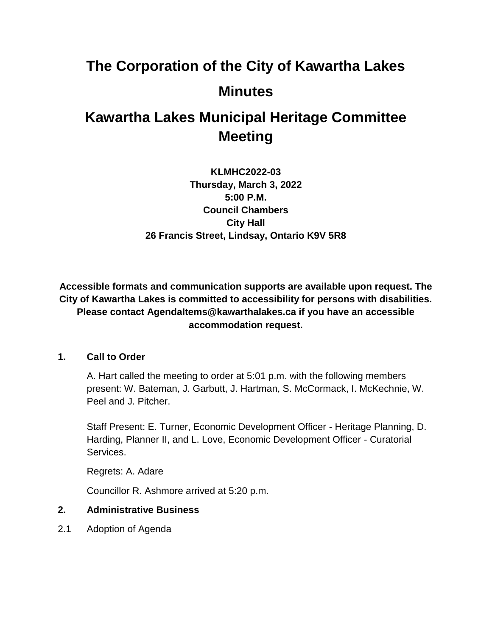# **The Corporation of the City of Kawartha Lakes Minutes**

# **Kawartha Lakes Municipal Heritage Committee Meeting**

**KLMHC2022-03 Thursday, March 3, 2022 5:00 P.M. Council Chambers City Hall 26 Francis Street, Lindsay, Ontario K9V 5R8**

**Accessible formats and communication supports are available upon request. The City of Kawartha Lakes is committed to accessibility for persons with disabilities. Please contact AgendaItems@kawarthalakes.ca if you have an accessible accommodation request.** 

# **1. Call to Order**

A. Hart called the meeting to order at 5:01 p.m. with the following members present: W. Bateman, J. Garbutt, J. Hartman, S. McCormack, I. McKechnie, W. Peel and J. Pitcher.

Staff Present: E. Turner, Economic Development Officer - Heritage Planning, D. Harding, Planner II, and L. Love, Economic Development Officer - Curatorial Services.

Regrets: A. Adare

Councillor R. Ashmore arrived at 5:20 p.m.

# **2. Administrative Business**

2.1 Adoption of Agenda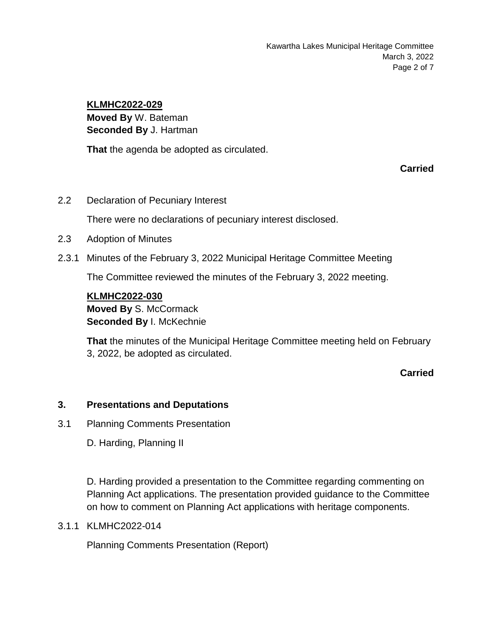Kawartha Lakes Municipal Heritage Committee March 3, 2022 Page 2 of 7

#### **KLMHC2022-029**

**Moved By** W. Bateman **Seconded By** J. Hartman

**That** the agenda be adopted as circulated.

**Carried**

2.2 Declaration of Pecuniary Interest

There were no declarations of pecuniary interest disclosed.

- 2.3 Adoption of Minutes
- 2.3.1 Minutes of the February 3, 2022 Municipal Heritage Committee Meeting

The Committee reviewed the minutes of the February 3, 2022 meeting.

# **KLMHC2022-030 Moved By** S. McCormack **Seconded By** I. McKechnie

**That** the minutes of the Municipal Heritage Committee meeting held on February 3, 2022, be adopted as circulated.

**Carried**

#### **3. Presentations and Deputations**

3.1 Planning Comments Presentation

D. Harding, Planning II

D. Harding provided a presentation to the Committee regarding commenting on Planning Act applications. The presentation provided guidance to the Committee on how to comment on Planning Act applications with heritage components.

3.1.1 KLMHC2022-014

Planning Comments Presentation (Report)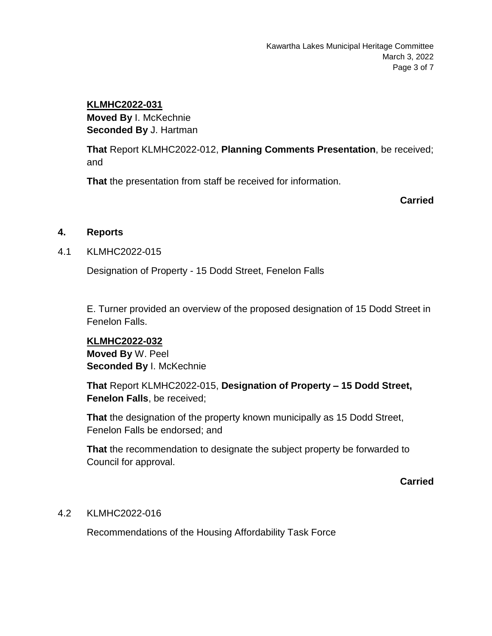## **KLMHC2022-031**

**Moved By** I. McKechnie **Seconded By** J. Hartman

**That** Report KLMHC2022-012, **Planning Comments Presentation**, be received; and

**That** the presentation from staff be received for information.

**Carried**

# **4. Reports**

# 4.1 KLMHC2022-015

Designation of Property - 15 Dodd Street, Fenelon Falls

E. Turner provided an overview of the proposed designation of 15 Dodd Street in Fenelon Falls.

#### **KLMHC2022-032**

**Moved By** W. Peel **Seconded By** I. McKechnie

**That** Report KLMHC2022-015, **Designation of Property – 15 Dodd Street, Fenelon Falls**, be received;

**That** the designation of the property known municipally as 15 Dodd Street, Fenelon Falls be endorsed; and

**That** the recommendation to designate the subject property be forwarded to Council for approval.

**Carried**

# 4.2 KLMHC2022-016

Recommendations of the Housing Affordability Task Force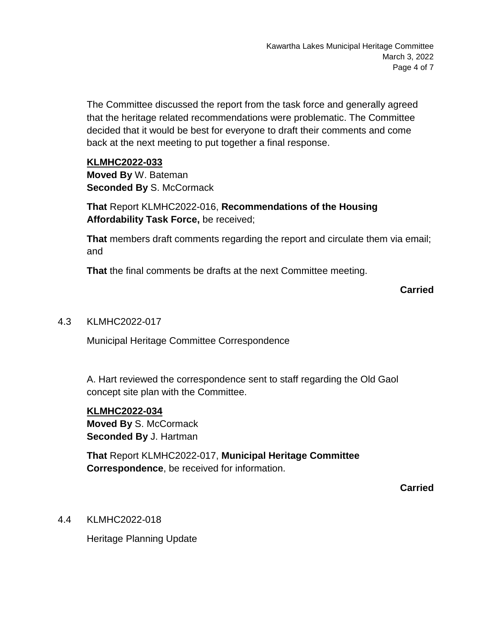The Committee discussed the report from the task force and generally agreed that the heritage related recommendations were problematic. The Committee decided that it would be best for everyone to draft their comments and come back at the next meeting to put together a final response.

#### **KLMHC2022-033**

**Moved By** W. Bateman **Seconded By S. McCormack** 

**That** Report KLMHC2022-016, **Recommendations of the Housing Affordability Task Force,** be received;

**That** members draft comments regarding the report and circulate them via email; and

**That** the final comments be drafts at the next Committee meeting.

# **Carried**

## 4.3 KLMHC2022-017

Municipal Heritage Committee Correspondence

A. Hart reviewed the correspondence sent to staff regarding the Old Gaol concept site plan with the Committee.

#### **KLMHC2022-034**

**Moved By** S. McCormack **Seconded By** J. Hartman

**That** Report KLMHC2022-017, **Municipal Heritage Committee Correspondence**, be received for information.

**Carried**

#### 4.4 KLMHC2022-018

Heritage Planning Update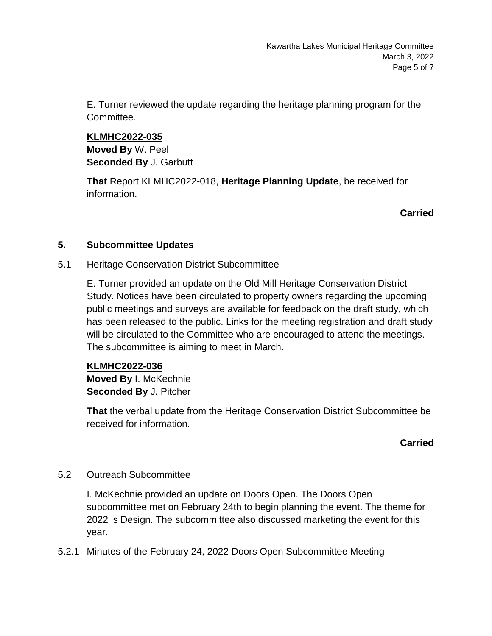E. Turner reviewed the update regarding the heritage planning program for the Committee.

**KLMHC2022-035 Moved By** W. Peel **Seconded By** J. Garbutt

**That** Report KLMHC2022-018, **Heritage Planning Update**, be received for information.

**Carried**

#### **5. Subcommittee Updates**

5.1 Heritage Conservation District Subcommittee

E. Turner provided an update on the Old Mill Heritage Conservation District Study. Notices have been circulated to property owners regarding the upcoming public meetings and surveys are available for feedback on the draft study, which has been released to the public. Links for the meeting registration and draft study will be circulated to the Committee who are encouraged to attend the meetings. The subcommittee is aiming to meet in March.

#### **KLMHC2022-036**

**Moved By** I. McKechnie **Seconded By** J. Pitcher

**That** the verbal update from the Heritage Conservation District Subcommittee be received for information.

# **Carried**

#### 5.2 Outreach Subcommittee

I. McKechnie provided an update on Doors Open. The Doors Open subcommittee met on February 24th to begin planning the event. The theme for 2022 is Design. The subcommittee also discussed marketing the event for this year.

5.2.1 Minutes of the February 24, 2022 Doors Open Subcommittee Meeting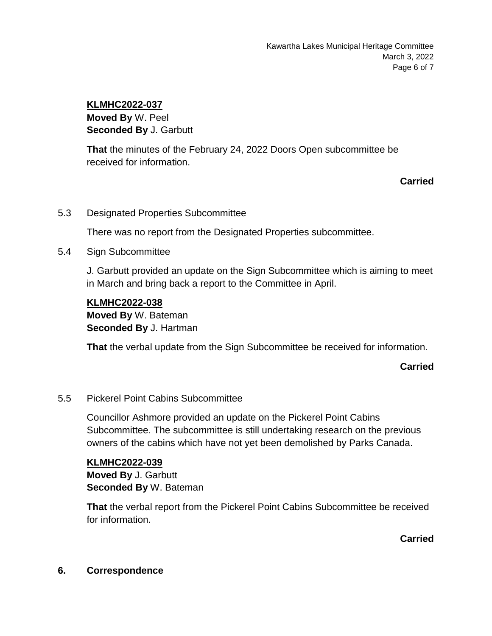# **KLMHC2022-037**

**Moved By** W. Peel **Seconded By** J. Garbutt

**That** the minutes of the February 24, 2022 Doors Open subcommittee be received for information.

# **Carried**

5.3 Designated Properties Subcommittee

There was no report from the Designated Properties subcommittee.

5.4 Sign Subcommittee

J. Garbutt provided an update on the Sign Subcommittee which is aiming to meet in March and bring back a report to the Committee in April.

#### **KLMHC2022-038**

**Moved By** W. Bateman **Seconded By** J. Hartman

**That** the verbal update from the Sign Subcommittee be received for information.

#### **Carried**

#### 5.5 Pickerel Point Cabins Subcommittee

Councillor Ashmore provided an update on the Pickerel Point Cabins Subcommittee. The subcommittee is still undertaking research on the previous owners of the cabins which have not yet been demolished by Parks Canada.

#### **KLMHC2022-039**

**Moved By** J. Garbutt **Seconded By** W. Bateman

**That** the verbal report from the Pickerel Point Cabins Subcommittee be received for information.

**Carried**

#### **6. Correspondence**